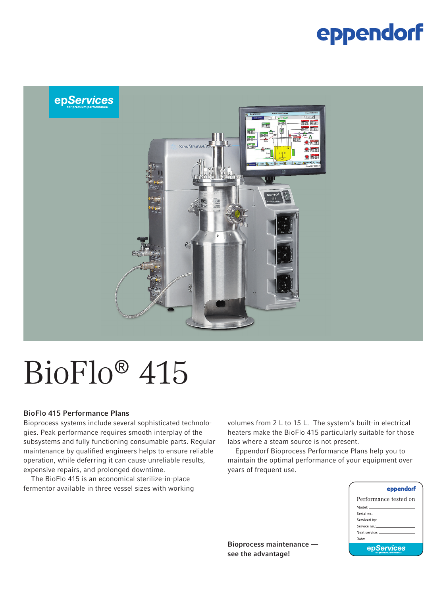### eppendorf



# BioFlo® 415

#### BioFlo 415 Performance Plans

Bioprocess systems include several sophisticated technologies. Peak performance requires smooth interplay of the subsystems and fully functioning consumable parts. Regular maintenance by qualified engineers helps to ensure reliable operation, while deferring it can cause unreliable results, expensive repairs, and prolonged downtime.

The BioFlo 415 is an economical sterilize-in-place fermentor available in three vessel sizes with working volumes from 2 L to 15 L. The system's built-in electrical heaters make the BioFlo 415 particularly suitable for those labs where a steam source is not present.

Eppendorf Bioprocess Performance Plans help you to maintain the optimal performance of your equipment over years of frequent use.

| eppendorf                                                                                                                                                                                                                     |
|-------------------------------------------------------------------------------------------------------------------------------------------------------------------------------------------------------------------------------|
| Performance tested on                                                                                                                                                                                                         |
| Model: ______________________                                                                                                                                                                                                 |
| Serial no.: Annual Communication of the Communication                                                                                                                                                                         |
|                                                                                                                                                                                                                               |
| Service no.: Annual American Service                                                                                                                                                                                          |
| Next service: The contract of the contract of the contract of the contract of the contract of the contract of the contract of the contract of the contract of the contract of the contract of the contract of the contract of |
| Date: ________________________                                                                                                                                                                                                |
| epServices                                                                                                                                                                                                                    |

Bioprocess maintenance see the advantage!